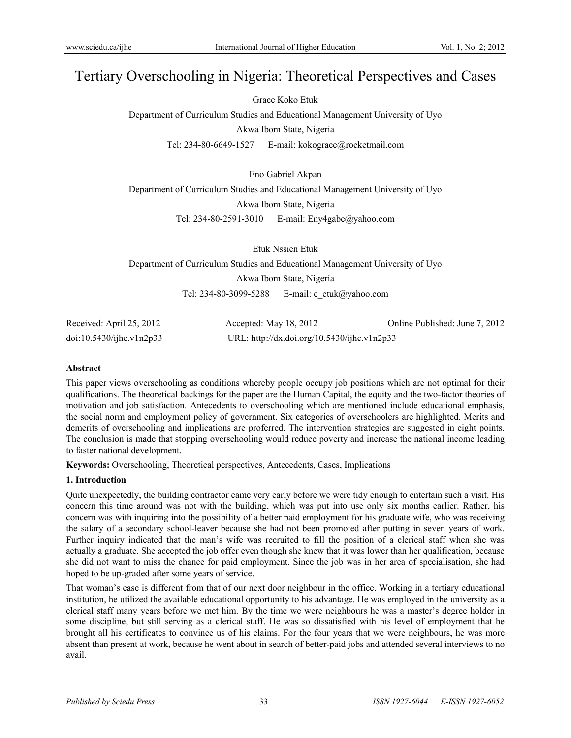# Tertiary Overschooling in Nigeria: Theoretical Perspectives and Cases

Grace Koko Etuk

Department of Curriculum Studies and Educational Management University of Uyo Akwa Ibom State, Nigeria

Tel: 234-80-6649-1527 E-mail: kokograce@rocketmail.com

Eno Gabriel Akpan

Department of Curriculum Studies and Educational Management University of Uyo Akwa Ibom State, Nigeria Tel: 234-80-2591-3010 E-mail: Eny4gabe@yahoo.com

Etuk Nssien Etuk Department of Curriculum Studies and Educational Management University of Uyo Akwa Ibom State, Nigeria Tel: 234-80-3099-5288 E-mail: e\_etuk@yahoo.com

| Received: April 25, 2012 | Accepted: May 18, 2012                      | Online Published: June 7, 2012 |
|--------------------------|---------------------------------------------|--------------------------------|
| doi:10.5430/ijhe.v1n2p33 | URL: http://dx.doi.org/10.5430/ijhe.v1n2p33 |                                |

# **Abstract**

This paper views overschooling as conditions whereby people occupy job positions which are not optimal for their qualifications. The theoretical backings for the paper are the Human Capital, the equity and the two-factor theories of motivation and job satisfaction. Antecedents to overschooling which are mentioned include educational emphasis, the social norm and employment policy of government. Six categories of overschoolers are highlighted. Merits and demerits of overschooling and implications are proferred. The intervention strategies are suggested in eight points. The conclusion is made that stopping overschooling would reduce poverty and increase the national income leading to faster national development.

**Keywords:** Overschooling, Theoretical perspectives, Antecedents, Cases, Implications

# **1. Introduction**

Quite unexpectedly, the building contractor came very early before we were tidy enough to entertain such a visit. His concern this time around was not with the building, which was put into use only six months earlier. Rather, his concern was with inquiring into the possibility of a better paid employment for his graduate wife, who was receiving the salary of a secondary school-leaver because she had not been promoted after putting in seven years of work. Further inquiry indicated that the man's wife was recruited to fill the position of a clerical staff when she was actually a graduate. She accepted the job offer even though she knew that it was lower than her qualification, because she did not want to miss the chance for paid employment. Since the job was in her area of specialisation, she had hoped to be up-graded after some years of service.

That woman's case is different from that of our next door neighbour in the office. Working in a tertiary educational institution, he utilized the available educational opportunity to his advantage. He was employed in the university as a clerical staff many years before we met him. By the time we were neighbours he was a master's degree holder in some discipline, but still serving as a clerical staff. He was so dissatisfied with his level of employment that he brought all his certificates to convince us of his claims. For the four years that we were neighbours, he was more absent than present at work, because he went about in search of better-paid jobs and attended several interviews to no avail.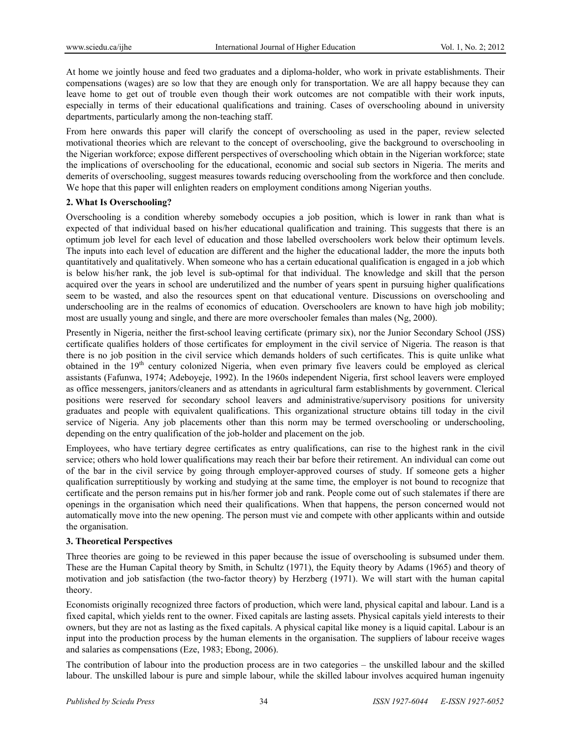At home we jointly house and feed two graduates and a diploma-holder, who work in private establishments. Their compensations (wages) are so low that they are enough only for transportation. We are all happy because they can leave home to get out of trouble even though their work outcomes are not compatible with their work inputs, especially in terms of their educational qualifications and training. Cases of overschooling abound in university departments, particularly among the non-teaching staff.

From here onwards this paper will clarify the concept of overschooling as used in the paper, review selected motivational theories which are relevant to the concept of overschooling, give the background to overschooling in the Nigerian workforce; expose different perspectives of overschooling which obtain in the Nigerian workforce; state the implications of overschooling for the educational, economic and social sub sectors in Nigeria. The merits and demerits of overschooling, suggest measures towards reducing overschooling from the workforce and then conclude. We hope that this paper will enlighten readers on employment conditions among Nigerian youths.

# **2. What Is Overschooling?**

Overschooling is a condition whereby somebody occupies a job position, which is lower in rank than what is expected of that individual based on his/her educational qualification and training. This suggests that there is an optimum job level for each level of education and those labelled overschoolers work below their optimum levels. The inputs into each level of education are different and the higher the educational ladder, the more the inputs both quantitatively and qualitatively. When someone who has a certain educational qualification is engaged in a job which is below his/her rank, the job level is sub-optimal for that individual. The knowledge and skill that the person acquired over the years in school are underutilized and the number of years spent in pursuing higher qualifications seem to be wasted, and also the resources spent on that educational venture. Discussions on overschooling and underschooling are in the realms of economics of education. Overschoolers are known to have high job mobility; most are usually young and single, and there are more overschooler females than males (Ng, 2000).

Presently in Nigeria, neither the first-school leaving certificate (primary six), nor the Junior Secondary School (JSS) certificate qualifies holders of those certificates for employment in the civil service of Nigeria. The reason is that there is no job position in the civil service which demands holders of such certificates. This is quite unlike what obtained in the 19<sup>th</sup> century colonized Nigeria, when even primary five leavers could be employed as clerical assistants (Fafunwa, 1974; Adeboyeje, 1992). In the 1960s independent Nigeria, first school leavers were employed as office messengers, janitors/cleaners and as attendants in agricultural farm establishments by government. Clerical positions were reserved for secondary school leavers and administrative/supervisory positions for university graduates and people with equivalent qualifications. This organizational structure obtains till today in the civil service of Nigeria. Any job placements other than this norm may be termed overschooling or underschooling, depending on the entry qualification of the job-holder and placement on the job.

Employees, who have tertiary degree certificates as entry qualifications, can rise to the highest rank in the civil service; others who hold lower qualifications may reach their bar before their retirement. An individual can come out of the bar in the civil service by going through employer-approved courses of study. If someone gets a higher qualification surreptitiously by working and studying at the same time, the employer is not bound to recognize that certificate and the person remains put in his/her former job and rank. People come out of such stalemates if there are openings in the organisation which need their qualifications. When that happens, the person concerned would not automatically move into the new opening. The person must vie and compete with other applicants within and outside the organisation.

# **3. Theoretical Perspectives**

Three theories are going to be reviewed in this paper because the issue of overschooling is subsumed under them. These are the Human Capital theory by Smith, in Schultz (1971), the Equity theory by Adams (1965) and theory of motivation and job satisfaction (the two-factor theory) by Herzberg (1971). We will start with the human capital theory.

Economists originally recognized three factors of production, which were land, physical capital and labour. Land is a fixed capital, which yields rent to the owner. Fixed capitals are lasting assets. Physical capitals yield interests to their owners, but they are not as lasting as the fixed capitals. A physical capital like money is a liquid capital. Labour is an input into the production process by the human elements in the organisation. The suppliers of labour receive wages and salaries as compensations (Eze, 1983; Ebong, 2006).

The contribution of labour into the production process are in two categories – the unskilled labour and the skilled labour. The unskilled labour is pure and simple labour, while the skilled labour involves acquired human ingenuity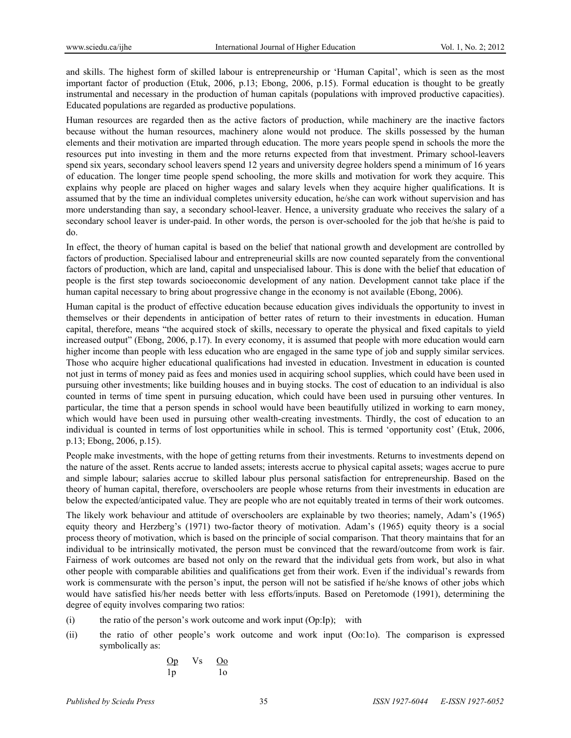and skills. The highest form of skilled labour is entrepreneurship or 'Human Capital', which is seen as the most important factor of production (Etuk, 2006, p.13; Ebong, 2006, p.15). Formal education is thought to be greatly instrumental and necessary in the production of human capitals (populations with improved productive capacities). Educated populations are regarded as productive populations.

Human resources are regarded then as the active factors of production, while machinery are the inactive factors because without the human resources, machinery alone would not produce. The skills possessed by the human elements and their motivation are imparted through education. The more years people spend in schools the more the resources put into investing in them and the more returns expected from that investment. Primary school-leavers spend six years, secondary school leavers spend 12 years and university degree holders spend a minimum of 16 years of education. The longer time people spend schooling, the more skills and motivation for work they acquire. This explains why people are placed on higher wages and salary levels when they acquire higher qualifications. It is assumed that by the time an individual completes university education, he/she can work without supervision and has more understanding than say, a secondary school-leaver. Hence, a university graduate who receives the salary of a secondary school leaver is under-paid. In other words, the person is over-schooled for the job that he/she is paid to do.

In effect, the theory of human capital is based on the belief that national growth and development are controlled by factors of production. Specialised labour and entrepreneurial skills are now counted separately from the conventional factors of production, which are land, capital and unspecialised labour. This is done with the belief that education of people is the first step towards socioeconomic development of any nation. Development cannot take place if the human capital necessary to bring about progressive change in the economy is not available (Ebong, 2006).

Human capital is the product of effective education because education gives individuals the opportunity to invest in themselves or their dependents in anticipation of better rates of return to their investments in education. Human capital, therefore, means "the acquired stock of skills, necessary to operate the physical and fixed capitals to yield increased output" (Ebong, 2006, p.17). In every economy, it is assumed that people with more education would earn higher income than people with less education who are engaged in the same type of job and supply similar services. Those who acquire higher educational qualifications had invested in education. Investment in education is counted not just in terms of money paid as fees and monies used in acquiring school supplies, which could have been used in pursuing other investments; like building houses and in buying stocks. The cost of education to an individual is also counted in terms of time spent in pursuing education, which could have been used in pursuing other ventures. In particular, the time that a person spends in school would have been beautifully utilized in working to earn money, which would have been used in pursuing other wealth-creating investments. Thirdly, the cost of education to an individual is counted in terms of lost opportunities while in school. This is termed 'opportunity cost' (Etuk, 2006, p.13; Ebong, 2006, p.15).

People make investments, with the hope of getting returns from their investments. Returns to investments depend on the nature of the asset. Rents accrue to landed assets; interests accrue to physical capital assets; wages accrue to pure and simple labour; salaries accrue to skilled labour plus personal satisfaction for entrepreneurship. Based on the theory of human capital, therefore, overschoolers are people whose returns from their investments in education are below the expected/anticipated value. They are people who are not equitably treated in terms of their work outcomes.

The likely work behaviour and attitude of overschoolers are explainable by two theories; namely, Adam's (1965) equity theory and Herzberg's (1971) two-factor theory of motivation. Adam's (1965) equity theory is a social process theory of motivation, which is based on the principle of social comparison. That theory maintains that for an individual to be intrinsically motivated, the person must be convinced that the reward/outcome from work is fair. Fairness of work outcomes are based not only on the reward that the individual gets from work, but also in what other people with comparable abilities and qualifications get from their work. Even if the individual's rewards from work is commensurate with the person's input, the person will not be satisfied if he/she knows of other jobs which would have satisfied his/her needs better with less efforts/inputs. Based on Peretomode (1991), determining the degree of equity involves comparing two ratios:

- (i) the ratio of the person's work outcome and work input (Op:Ip); with
- (ii) the ratio of other people's work outcome and work input (Oo:1o). The comparison is expressed symbolically as:

$$
\begin{array}{ccc}\n\text{Op} & \text{Vs} & \text{Oo} \\
\text{lp} & & \text{lo}\n\end{array}
$$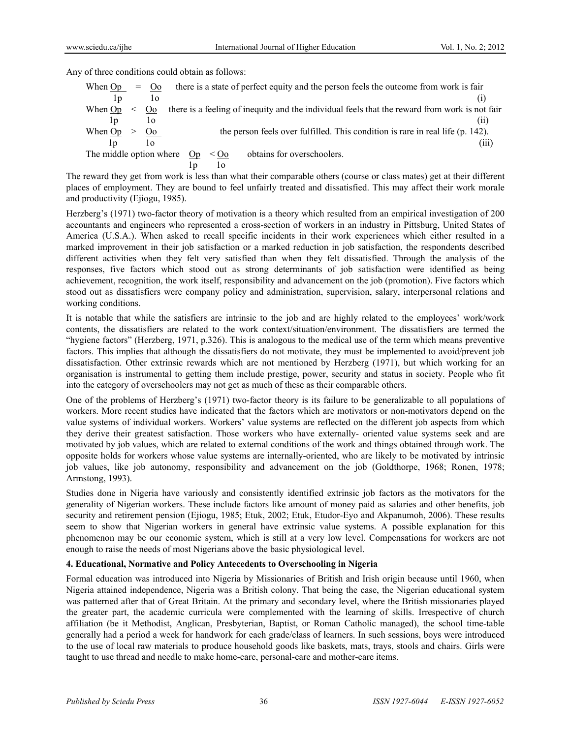Any of three conditions could obtain as follows:

| When Op                 | $=$ Oo         |    |                    | there is a state of perfect equity and the person feels the outcome from work is fair         |       |
|-------------------------|----------------|----|--------------------|-----------------------------------------------------------------------------------------------|-------|
| 1p                      | 10             |    |                    |                                                                                               |       |
| When $Op \leq O_0$      |                |    |                    | there is a feeling of inequity and the individual feels that the reward from work is not fair |       |
| 1p                      | 10             |    |                    |                                                                                               | (11)  |
| When Op                 | O <sub>o</sub> |    |                    | the person feels over fulfilled. This condition is rare in real life (p. 142).                |       |
| I p                     | 10             |    |                    |                                                                                               | (111) |
| The middle option where |                | On | $<$ O <sub>0</sub> | obtains for overschoolers.                                                                    |       |
|                         |                |    | 10                 |                                                                                               |       |

The reward they get from work is less than what their comparable others (course or class mates) get at their different places of employment. They are bound to feel unfairly treated and dissatisfied. This may affect their work morale and productivity (Ejiogu, 1985).

Herzberg's (1971) two-factor theory of motivation is a theory which resulted from an empirical investigation of 200 accountants and engineers who represented a cross-section of workers in an industry in Pittsburg, United States of America (U.S.A.). When asked to recall specific incidents in their work experiences which either resulted in a marked improvement in their job satisfaction or a marked reduction in job satisfaction, the respondents described different activities when they felt very satisfied than when they felt dissatisfied. Through the analysis of the responses, five factors which stood out as strong determinants of job satisfaction were identified as being achievement, recognition, the work itself, responsibility and advancement on the job (promotion). Five factors which stood out as dissatisfiers were company policy and administration, supervision, salary, interpersonal relations and working conditions.

It is notable that while the satisfiers are intrinsic to the job and are highly related to the employees' work/work contents, the dissatisfiers are related to the work context/situation/environment. The dissatisfiers are termed the "hygiene factors" (Herzberg, 1971, p.326). This is analogous to the medical use of the term which means preventive factors. This implies that although the dissatisfiers do not motivate, they must be implemented to avoid/prevent job dissatisfaction. Other extrinsic rewards which are not mentioned by Herzberg (1971), but which working for an organisation is instrumental to getting them include prestige, power, security and status in society. People who fit into the category of overschoolers may not get as much of these as their comparable others.

One of the problems of Herzberg's (1971) two-factor theory is its failure to be generalizable to all populations of workers. More recent studies have indicated that the factors which are motivators or non-motivators depend on the value systems of individual workers. Workers' value systems are reflected on the different job aspects from which they derive their greatest satisfaction. Those workers who have externally- oriented value systems seek and are motivated by job values, which are related to external conditions of the work and things obtained through work. The opposite holds for workers whose value systems are internally-oriented, who are likely to be motivated by intrinsic job values, like job autonomy, responsibility and advancement on the job (Goldthorpe, 1968; Ronen, 1978; Armstong, 1993).

Studies done in Nigeria have variously and consistently identified extrinsic job factors as the motivators for the generality of Nigerian workers. These include factors like amount of money paid as salaries and other benefits, job security and retirement pension (Ejiogu, 1985; Etuk, 2002; Etuk, Etudor-Eyo and Akpanumoh, 2006). These results seem to show that Nigerian workers in general have extrinsic value systems. A possible explanation for this phenomenon may be our economic system, which is still at a very low level. Compensations for workers are not enough to raise the needs of most Nigerians above the basic physiological level.

# **4. Educational, Normative and Policy Antecedents to Overschooling in Nigeria**

Formal education was introduced into Nigeria by Missionaries of British and Irish origin because until 1960, when Nigeria attained independence, Nigeria was a British colony. That being the case, the Nigerian educational system was patterned after that of Great Britain. At the primary and secondary level, where the British missionaries played the greater part, the academic curricula were complemented with the learning of skills. Irrespective of church affiliation (be it Methodist, Anglican, Presbyterian, Baptist, or Roman Catholic managed), the school time-table generally had a period a week for handwork for each grade/class of learners. In such sessions, boys were introduced to the use of local raw materials to produce household goods like baskets, mats, trays, stools and chairs. Girls were taught to use thread and needle to make home-care, personal-care and mother-care items.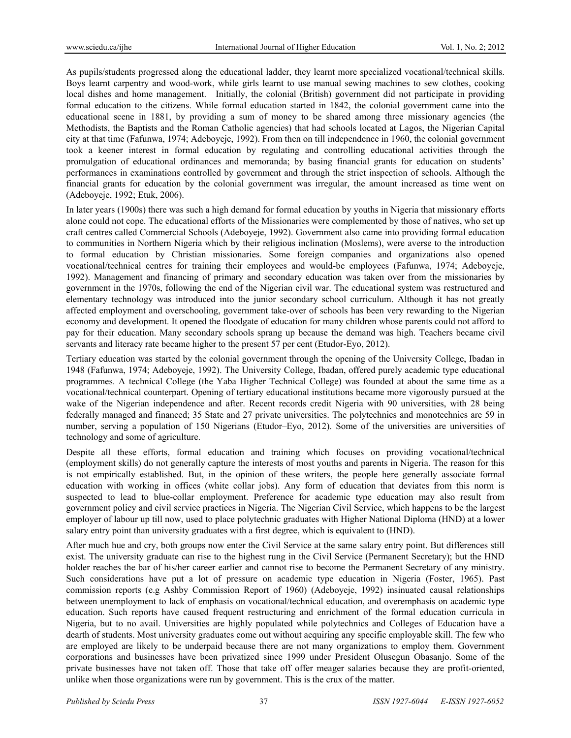As pupils/students progressed along the educational ladder, they learnt more specialized vocational/technical skills. Boys learnt carpentry and wood-work, while girls learnt to use manual sewing machines to sew clothes, cooking local dishes and home management. Initially, the colonial (British) government did not participate in providing formal education to the citizens. While formal education started in 1842, the colonial government came into the educational scene in 1881, by providing a sum of money to be shared among three missionary agencies (the Methodists, the Baptists and the Roman Catholic agencies) that had schools located at Lagos, the Nigerian Capital city at that time (Fafunwa, 1974; Adeboyeje, 1992). From then on till independence in 1960, the colonial government took a keener interest in formal education by regulating and controlling educational activities through the promulgation of educational ordinances and memoranda; by basing financial grants for education on students' performances in examinations controlled by government and through the strict inspection of schools. Although the financial grants for education by the colonial government was irregular, the amount increased as time went on (Adeboyeje, 1992; Etuk, 2006).

In later years (1900s) there was such a high demand for formal education by youths in Nigeria that missionary efforts alone could not cope. The educational efforts of the Missionaries were complemented by those of natives, who set up craft centres called Commercial Schools (Adeboyeje, 1992). Government also came into providing formal education to communities in Northern Nigeria which by their religious inclination (Moslems), were averse to the introduction to formal education by Christian missionaries. Some foreign companies and organizations also opened vocational/technical centres for training their employees and would-be employees (Fafunwa, 1974; Adeboyeje, 1992). Management and financing of primary and secondary education was taken over from the missionaries by government in the 1970s, following the end of the Nigerian civil war. The educational system was restructured and elementary technology was introduced into the junior secondary school curriculum. Although it has not greatly affected employment and overschooling, government take-over of schools has been very rewarding to the Nigerian economy and development. It opened the floodgate of education for many children whose parents could not afford to pay for their education. Many secondary schools sprang up because the demand was high. Teachers became civil servants and literacy rate became higher to the present 57 per cent (Etudor-Eyo, 2012).

Tertiary education was started by the colonial government through the opening of the University College, Ibadan in 1948 (Fafunwa, 1974; Adeboyeje, 1992). The University College, Ibadan, offered purely academic type educational programmes. A technical College (the Yaba Higher Technical College) was founded at about the same time as a vocational/technical counterpart. Opening of tertiary educational institutions became more vigorously pursued at the wake of the Nigerian independence and after. Recent records credit Nigeria with 90 universities, with 28 being federally managed and financed; 35 State and 27 private universities. The polytechnics and monotechnics are 59 in number, serving a population of 150 Nigerians (Etudor–Eyo, 2012). Some of the universities are universities of technology and some of agriculture.

Despite all these efforts, formal education and training which focuses on providing vocational/technical (employment skills) do not generally capture the interests of most youths and parents in Nigeria. The reason for this is not empirically established. But, in the opinion of these writers, the people here generally associate formal education with working in offices (white collar jobs). Any form of education that deviates from this norm is suspected to lead to blue-collar employment. Preference for academic type education may also result from government policy and civil service practices in Nigeria. The Nigerian Civil Service, which happens to be the largest employer of labour up till now, used to place polytechnic graduates with Higher National Diploma (HND) at a lower salary entry point than university graduates with a first degree, which is equivalent to (HND).

After much hue and cry, both groups now enter the Civil Service at the same salary entry point. But differences still exist. The university graduate can rise to the highest rung in the Civil Service (Permanent Secretary); but the HND holder reaches the bar of his/her career earlier and cannot rise to become the Permanent Secretary of any ministry. Such considerations have put a lot of pressure on academic type education in Nigeria (Foster, 1965). Past commission reports (e.g Ashby Commission Report of 1960) (Adeboyeje, 1992) insinuated causal relationships between unemployment to lack of emphasis on vocational/technical education, and overemphasis on academic type education. Such reports have caused frequent restructuring and enrichment of the formal education curricula in Nigeria, but to no avail. Universities are highly populated while polytechnics and Colleges of Education have a dearth of students. Most university graduates come out without acquiring any specific employable skill. The few who are employed are likely to be underpaid because there are not many organizations to employ them. Government corporations and businesses have been privatized since 1999 under President Olusegun Obasanjo. Some of the private businesses have not taken off. Those that take off offer meager salaries because they are profit-oriented, unlike when those organizations were run by government. This is the crux of the matter.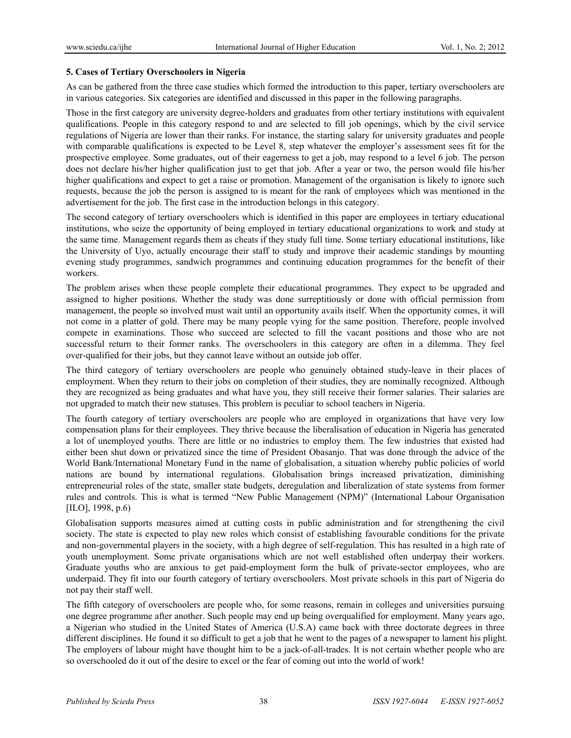# **5. Cases of Tertiary Overschoolers in Nigeria**

As can be gathered from the three case studies which formed the introduction to this paper, tertiary overschoolers are in various categories. Six categories are identified and discussed in this paper in the following paragraphs.

Those in the first category are university degree-holders and graduates from other tertiary institutions with equivalent qualifications. People in this category respond to and are selected to fill job openings, which by the civil service regulations of Nigeria are lower than their ranks. For instance, the starting salary for university graduates and people with comparable qualifications is expected to be Level 8, step whatever the employer's assessment sees fit for the prospective employee. Some graduates, out of their eagerness to get a job, may respond to a level 6 job. The person does not declare his/her higher qualification just to get that job. After a year or two, the person would file his/her higher qualifications and expect to get a raise or promotion. Management of the organisation is likely to ignore such requests, because the job the person is assigned to is meant for the rank of employees which was mentioned in the advertisement for the job. The first case in the introduction belongs in this category.

The second category of tertiary overschoolers which is identified in this paper are employees in tertiary educational institutions, who seize the opportunity of being employed in tertiary educational organizations to work and study at the same time. Management regards them as cheats if they study full time. Some tertiary educational institutions, like the University of Uyo, actually encourage their staff to study and improve their academic standings by mounting evening study programmes, sandwich programmes and continuing education programmes for the benefit of their workers.

The problem arises when these people complete their educational programmes. They expect to be upgraded and assigned to higher positions. Whether the study was done surreptitiously or done with official permission from management, the people so involved must wait until an opportunity avails itself. When the opportunity comes, it will not come in a platter of gold. There may be many people vying for the same position. Therefore, people involved compete in examinations. Those who succeed are selected to fill the vacant positions and those who are not successful return to their former ranks. The overschoolers in this category are often in a dilemma. They feel over-qualified for their jobs, but they cannot leave without an outside job offer.

The third category of tertiary overschoolers are people who genuinely obtained study-leave in their places of employment. When they return to their jobs on completion of their studies, they are nominally recognized. Although they are recognized as being graduates and what have you, they still receive their former salaries. Their salaries are not upgraded to match their new statuses. This problem is peculiar to school teachers in Nigeria.

The fourth category of tertiary overschoolers are people who are employed in organizations that have very low compensation plans for their employees. They thrive because the liberalisation of education in Nigeria has generated a lot of unemployed youths. There are little or no industries to employ them. The few industries that existed had either been shut down or privatized since the time of President Obasanjo. That was done through the advice of the World Bank/International Monetary Fund in the name of globalisation, a situation whereby public policies of world nations are bound by international regulations. Globalisation brings increased privatization, diminishing entrepreneurial roles of the state, smaller state budgets, deregulation and liberalization of state systems from former rules and controls. This is what is termed "New Public Management (NPM)" (International Labour Organisation [ILO], 1998, p.6)

Globalisation supports measures aimed at cutting costs in public administration and for strengthening the civil society. The state is expected to play new roles which consist of establishing favourable conditions for the private and non-governmental players in the society, with a high degree of self-regulation. This has resulted in a high rate of youth unemployment. Some private organisations which are not well established often underpay their workers. Graduate youths who are anxious to get paid-employment form the bulk of private-sector employees, who are underpaid. They fit into our fourth category of tertiary overschoolers. Most private schools in this part of Nigeria do not pay their staff well.

The fifth category of overschoolers are people who, for some reasons, remain in colleges and universities pursuing one degree programme after another. Such people may end up being overqualified for employment. Many years ago, a Nigerian who studied in the United States of America (U.S.A) came back with three doctorate degrees in three different disciplines. He found it so difficult to get a job that he went to the pages of a newspaper to lament his plight. The employers of labour might have thought him to be a jack-of-all-trades. It is not certain whether people who are so overschooled do it out of the desire to excel or the fear of coming out into the world of work!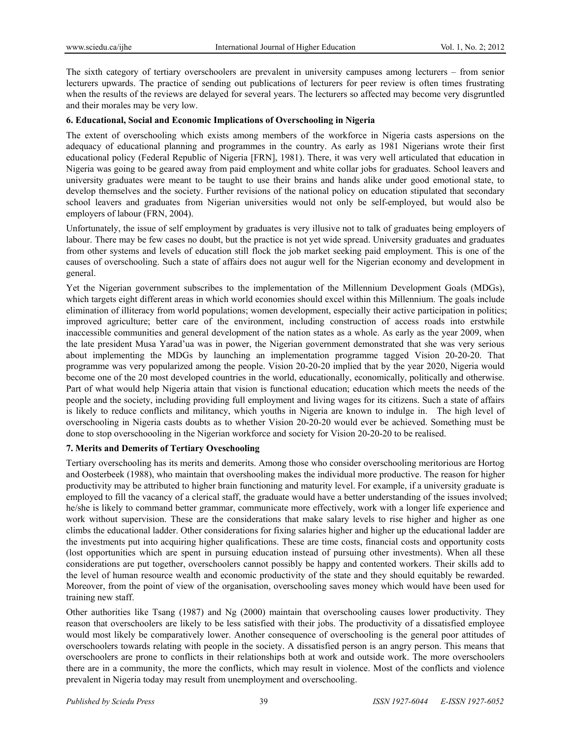The sixth category of tertiary overschoolers are prevalent in university campuses among lecturers – from senior lecturers upwards. The practice of sending out publications of lecturers for peer review is often times frustrating when the results of the reviews are delayed for several years. The lecturers so affected may become very disgruntled and their morales may be very low.

# **6. Educational, Social and Economic Implications of Overschooling in Nigeria**

The extent of overschooling which exists among members of the workforce in Nigeria casts aspersions on the adequacy of educational planning and programmes in the country. As early as 1981 Nigerians wrote their first educational policy (Federal Republic of Nigeria [FRN], 1981). There, it was very well articulated that education in Nigeria was going to be geared away from paid employment and white collar jobs for graduates. School leavers and university graduates were meant to be taught to use their brains and hands alike under good emotional state, to develop themselves and the society. Further revisions of the national policy on education stipulated that secondary school leavers and graduates from Nigerian universities would not only be self-employed, but would also be employers of labour (FRN, 2004).

Unfortunately, the issue of self employment by graduates is very illusive not to talk of graduates being employers of labour. There may be few cases no doubt, but the practice is not yet wide spread. University graduates and graduates from other systems and levels of education still flock the job market seeking paid employment. This is one of the causes of overschooling. Such a state of affairs does not augur well for the Nigerian economy and development in general.

Yet the Nigerian government subscribes to the implementation of the Millennium Development Goals (MDGs), which targets eight different areas in which world economies should excel within this Millennium. The goals include elimination of illiteracy from world populations; women development, especially their active participation in politics; improved agriculture; better care of the environment, including construction of access roads into erstwhile inaccessible communities and general development of the nation states as a whole. As early as the year 2009, when the late president Musa Yarad'ua was in power, the Nigerian government demonstrated that she was very serious about implementing the MDGs by launching an implementation programme tagged Vision 20-20-20. That programme was very popularized among the people. Vision 20-20-20 implied that by the year 2020, Nigeria would become one of the 20 most developed countries in the world, educationally, economically, politically and otherwise. Part of what would help Nigeria attain that vision is functional education; education which meets the needs of the people and the society, including providing full employment and living wages for its citizens. Such a state of affairs is likely to reduce conflicts and militancy, which youths in Nigeria are known to indulge in. The high level of overschooling in Nigeria casts doubts as to whether Vision 20-20-20 would ever be achieved. Something must be done to stop overschoooling in the Nigerian workforce and society for Vision 20-20-20 to be realised.

# **7. Merits and Demerits of Tertiary Oveschooling**

Tertiary overschooling has its merits and demerits. Among those who consider overschooling meritorious are Hortog and Oosterbeek (1988), who maintain that overshooling makes the individual more productive. The reason for higher productivity may be attributed to higher brain functioning and maturity level. For example, if a university graduate is employed to fill the vacancy of a clerical staff, the graduate would have a better understanding of the issues involved; he/she is likely to command better grammar, communicate more effectively, work with a longer life experience and work without supervision. These are the considerations that make salary levels to rise higher and higher as one climbs the educational ladder. Other considerations for fixing salaries higher and higher up the educational ladder are the investments put into acquiring higher qualifications. These are time costs, financial costs and opportunity costs (lost opportunities which are spent in pursuing education instead of pursuing other investments). When all these considerations are put together, overschoolers cannot possibly be happy and contented workers. Their skills add to the level of human resource wealth and economic productivity of the state and they should equitably be rewarded. Moreover, from the point of view of the organisation, overschooling saves money which would have been used for training new staff.

Other authorities like Tsang (1987) and Ng (2000) maintain that overschooling causes lower productivity. They reason that overschoolers are likely to be less satisfied with their jobs. The productivity of a dissatisfied employee would most likely be comparatively lower. Another consequence of overschooling is the general poor attitudes of overschoolers towards relating with people in the society. A dissatisfied person is an angry person. This means that overschoolers are prone to conflicts in their relationships both at work and outside work. The more overschoolers there are in a community, the more the conflicts, which may result in violence. Most of the conflicts and violence prevalent in Nigeria today may result from unemployment and overschooling.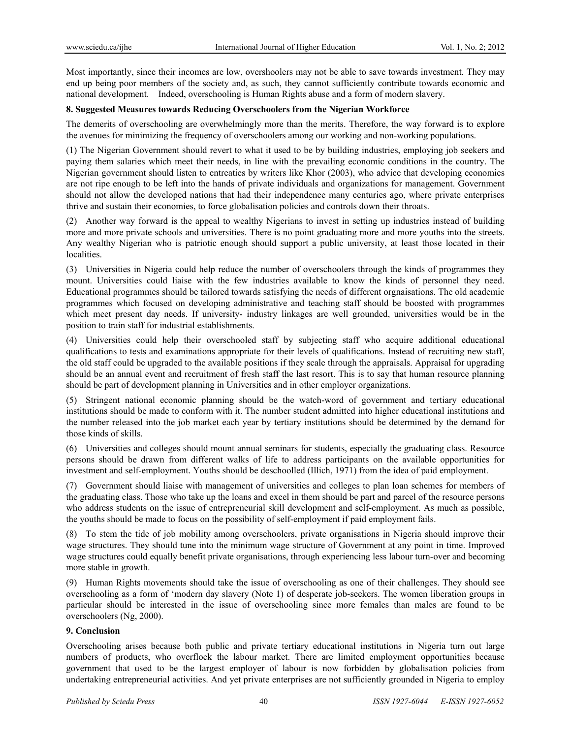Most importantly, since their incomes are low, overshoolers may not be able to save towards investment. They may end up being poor members of the society and, as such, they cannot sufficiently contribute towards economic and national development. Indeed, overschooling is Human Rights abuse and a form of modern slavery.

# **8. Suggested Measures towards Reducing Overschoolers from the Nigerian Workforce**

The demerits of overschooling are overwhelmingly more than the merits. Therefore, the way forward is to explore the avenues for minimizing the frequency of overschoolers among our working and non-working populations.

(1) The Nigerian Government should revert to what it used to be by building industries, employing job seekers and paying them salaries which meet their needs, in line with the prevailing economic conditions in the country. The Nigerian government should listen to entreaties by writers like Khor (2003), who advice that developing economies are not ripe enough to be left into the hands of private individuals and organizations for management. Government should not allow the developed nations that had their independence many centuries ago, where private enterprises thrive and sustain their economies, to force globalisation policies and controls down their throats.

(2) Another way forward is the appeal to wealthy Nigerians to invest in setting up industries instead of building more and more private schools and universities. There is no point graduating more and more youths into the streets. Any wealthy Nigerian who is patriotic enough should support a public university, at least those located in their localities.

(3) Universities in Nigeria could help reduce the number of overschoolers through the kinds of programmes they mount. Universities could liaise with the few industries available to know the kinds of personnel they need. Educational programmes should be tailored towards satisfying the needs of different orgnaisations. The old academic programmes which focused on developing administrative and teaching staff should be boosted with programmes which meet present day needs. If university- industry linkages are well grounded, universities would be in the position to train staff for industrial establishments.

(4) Universities could help their overschooled staff by subjecting staff who acquire additional educational qualifications to tests and examinations appropriate for their levels of qualifications. Instead of recruiting new staff, the old staff could be upgraded to the available positions if they scale through the appraisals. Appraisal for upgrading should be an annual event and recruitment of fresh staff the last resort. This is to say that human resource planning should be part of development planning in Universities and in other employer organizations.

(5) Stringent national economic planning should be the watch-word of government and tertiary educational institutions should be made to conform with it. The number student admitted into higher educational institutions and the number released into the job market each year by tertiary institutions should be determined by the demand for those kinds of skills.

(6) Universities and colleges should mount annual seminars for students, especially the graduating class. Resource persons should be drawn from different walks of life to address participants on the available opportunities for investment and self-employment. Youths should be deschoolled (Illich, 1971) from the idea of paid employment.

(7) Government should liaise with management of universities and colleges to plan loan schemes for members of the graduating class. Those who take up the loans and excel in them should be part and parcel of the resource persons who address students on the issue of entrepreneurial skill development and self-employment. As much as possible, the youths should be made to focus on the possibility of self-employment if paid employment fails.

(8) To stem the tide of job mobility among overschoolers, private organisations in Nigeria should improve their wage structures. They should tune into the minimum wage structure of Government at any point in time. Improved wage structures could equally benefit private organisations, through experiencing less labour turn-over and becoming more stable in growth.

(9) Human Rights movements should take the issue of overschooling as one of their challenges. They should see overschooling as a form of 'modern day slavery (Note 1) of desperate job-seekers. The women liberation groups in particular should be interested in the issue of overschooling since more females than males are found to be overschoolers (Ng, 2000).

# **9. Conclusion**

Overschooling arises because both public and private tertiary educational institutions in Nigeria turn out large numbers of products, who overflock the labour market. There are limited employment opportunities because government that used to be the largest employer of labour is now forbidden by globalisation policies from undertaking entrepreneurial activities. And yet private enterprises are not sufficiently grounded in Nigeria to employ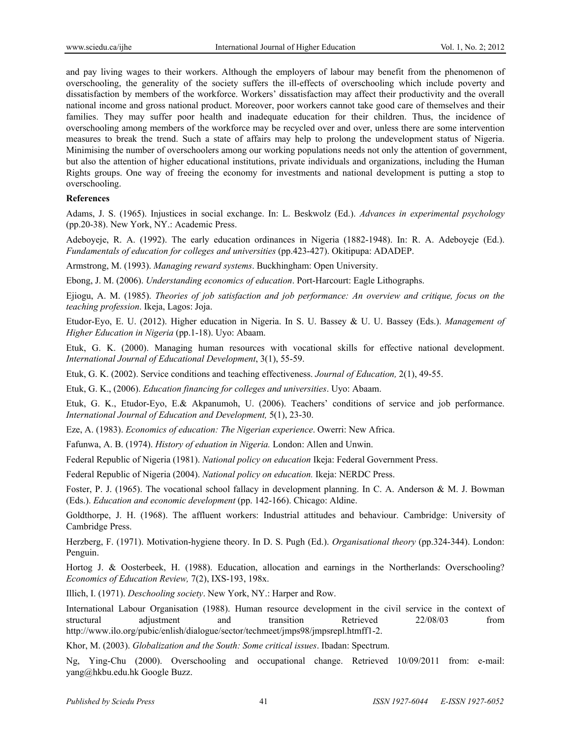and pay living wages to their workers. Although the employers of labour may benefit from the phenomenon of overschooling, the generality of the society suffers the ill-effects of overschooling which include poverty and dissatisfaction by members of the workforce. Workers' dissatisfaction may affect their productivity and the overall national income and gross national product. Moreover, poor workers cannot take good care of themselves and their families. They may suffer poor health and inadequate education for their children. Thus, the incidence of overschooling among members of the workforce may be recycled over and over, unless there are some intervention measures to break the trend. Such a state of affairs may help to prolong the undevelopment status of Nigeria. Minimising the number of overschoolers among our working populations needs not only the attention of government, but also the attention of higher educational institutions, private individuals and organizations, including the Human Rights groups. One way of freeing the economy for investments and national development is putting a stop to overschooling.

#### **References**

Adams, J. S. (1965). Injustices in social exchange. In: L. Beskwolz (Ed.). *Advances in experimental psychology* (pp.20-38). New York, NY.: Academic Press.

Adeboyeje, R. A. (1992). The early education ordinances in Nigeria (1882-1948). In: R. A. Adeboyeje (Ed.). *Fundamentals of education for colleges and universities* (pp.423-427). Okitipupa: ADADEP.

Armstrong, M. (1993). *Managing reward systems*. Buckhingham: Open University.

Ebong, J. M. (2006). *Understanding economics of education*. Port-Harcourt: Eagle Lithographs.

Ejiogu, A. M. (1985). *Theories of job satisfaction and job performance: An overview and critique, focus on the teaching profession*. Ikeja, Lagos: Joja.

Etudor-Eyo, E. U. (2012). Higher education in Nigeria. In S. U. Bassey & U. U. Bassey (Eds.). *Management of Higher Education in Nigeria* (pp.1-18). Uyo: Abaam.

Etuk, G. K. (2000). Managing human resources with vocational skills for effective national development. *International Journal of Educational Development*, 3(1), 55-59.

Etuk, G. K. (2002). Service conditions and teaching effectiveness. *Journal of Education,* 2(1), 49-55.

Etuk, G. K., (2006). *Education financing for colleges and universities*. Uyo: Abaam.

Etuk, G. K., Etudor-Eyo, E.& Akpanumoh, U. (2006). Teachers' conditions of service and job performance. *International Journal of Education and Development,* 5(1), 23-30.

Eze, A. (1983). *Economics of education: The Nigerian experience*. Owerri: New Africa.

Fafunwa, A. B. (1974). *History of eduation in Nigeria.* London: Allen and Unwin.

Federal Republic of Nigeria (1981). *National policy on education* Ikeja: Federal Government Press.

Federal Republic of Nigeria (2004). *National policy on education.* Ikeja: NERDC Press.

Foster, P. J. (1965). The vocational school fallacy in development planning. In C. A. Anderson & M. J. Bowman (Eds.). *Education and economic development* (pp. 142-166). Chicago: Aldine.

Goldthorpe, J. H. (1968). The affluent workers: Industrial attitudes and behaviour. Cambridge: University of Cambridge Press.

Herzberg, F. (1971). Motivation-hygiene theory. In D. S. Pugh (Ed.). *Organisational theory* (pp.324-344). London: Penguin.

Hortog J. & Oosterbeek, H. (1988). Education, allocation and earnings in the Northerlands: Overschooling? *Economics of Education Review,* 7(2), IXS-193, 198x.

Illich, I. (1971). *Deschooling society*. New York, NY.: Harper and Row.

International Labour Organisation (1988). Human resource development in the civil service in the context of structural adjustment and transition Retrieved 22/08/03 from http://www.ilo.org/pubic/enlish/dialogue/sector/techmeet/jmps98/jmpsrepl.htmff1-2.

Khor, M. (2003). *Globalization and the South: Some critical issues*. Ibadan: Spectrum.

Ng, Ying-Chu (2000). Overschooling and occupational change. Retrieved 10/09/2011 from: e-mail: yang@hkbu.edu.hk Google Buzz.